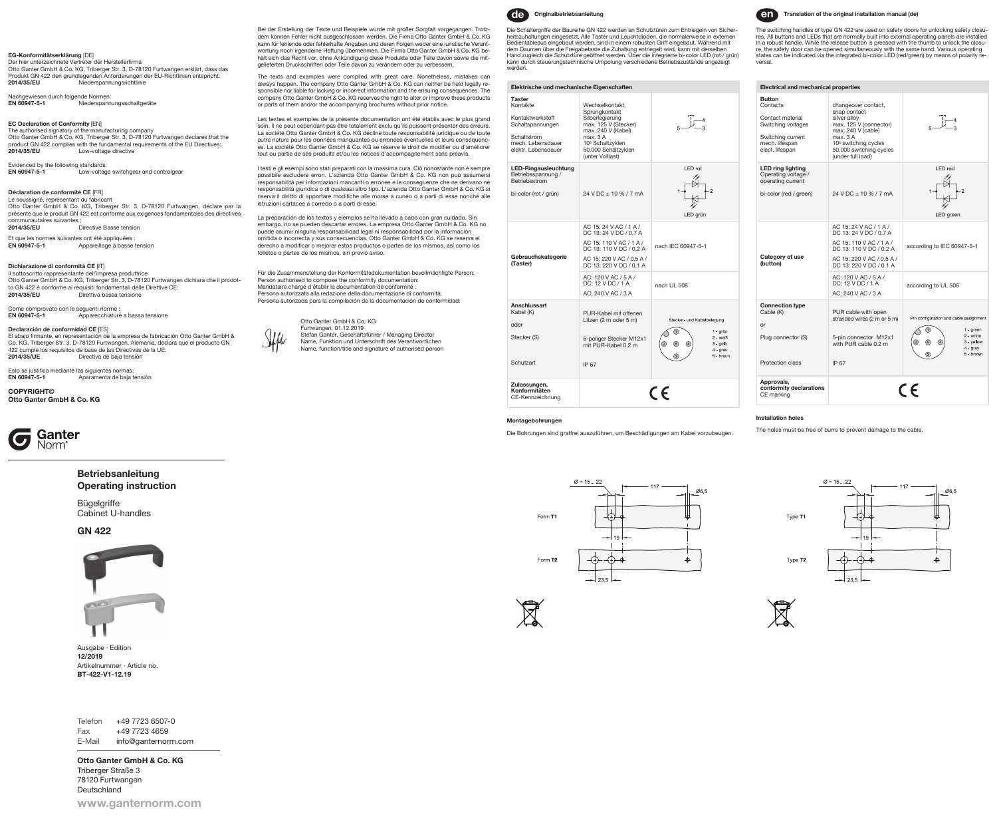# EG-Konformitätserklärung [DE]

Der hier unterzeichnete Vertreter der Herstellerfirma<br>Otto Ganter GmbH & Co. KG, Triberger Str. 3, D-78120 Furtwangen erklärt, dass das Produkt GN 422 den grundlegenden Anforderungen der EU-Richtlinien entspricht: **Niederspannungsrichtlinie** 

# Nachgewiesen durch folgende Normen<br>**EN 60947-5-1** Niederspan

Niederspannungsschaltgeräte

**EC Declaration of Conformity** [EN]<br>The authorised signatory of the manufacturing company<br>Otto Ganter GmbH & Co. KG, Triberger Str. 3, D-78120 Furtwangen declares that the product GN 422 complies with the fundamental requirements of the EU Directives:<br>2014/35/EU Low-voltage directive Low-voltage directive

Evidenced by the following standards:<br> **EN 60947-5-1** Low-voltad EN 60947-5-1 Low-voltage switchgear and controlgear

### Déclaration de conformité CE [FR]

Le soussigné, représentant du fabricant Otto Ganter GmbH & Co. KG, Triberger Str. 3, D-78120 Furtwangen, déclare par la présente que le produit GN 422 est conforme aux exigences fondamentales des directives communautaires suivantes :<br>2014/35/EU D

<sub>2</sub> .<br>Directive Basse tension

Et que les normes suivantes ont été appliquées<br> **EN 60947-5-1** Appareillage à basse Appareillage à basse tension

#### Dichiarazione di conformità CE [IT]

Il sottoscritto rappresentante dell'impresa produttrice Otto Ganter GmbH & Co. KG, Triberger Str. 3, D-78120 Furtwangen dichiara che il prodotto GN 422 è conforme ai requisiti fondamentali delle Direttive CE:<br>2014/35/EU Direttiva bassa tensione Direttiva bassa tensione

Come comprovato con le seguenti norme :<br>**EN 60947-5-1** Apparecchiature a bassa tensione

#### Declaración de conformidad CE [ES]

El abajo firmante, en representación de la empresa de fabricación Otto Ganter GmbH &<br>Co. KG, Triberger Str. 3, D-78120 Furtwangen, Alemania, declara que el producto GN 422 cumple los requisitos de base de las Directivas de la UE:<br>**2014/35/UE** Directiva de baja tensión Directiva de baja tensión

Esto se justifica mediante las siguientes normas:<br>**EN 60947-5-1** Aparamenta de baja Aparamenta de baja tensión

**COPYRIGHT©** Otto Ganter GmbH & Co. KG



# Betriebsanleitung Operating instruction

Bügelgriffe Cabinet U-handles

GN 422



Ausgabe · Edition 12/2019 Artikelnummer · Article no. BT-422-V1-12.19

Telefon +49 7723 6507-0 Fax +49 7723 4659 E-Mail info@ganternorm.com

www.ganternorm.com Otto Ganter GmbH & Co. KG Triberger Straße 3 78120 Furtwangen Deutschland

Bei der Erstellung der Texte und Beispiele wurde mit großer Sorgfalt vorgegangen. Trotzdem können Fehler nicht ausgeschlossen werden. Die Firma Otto Ganter GmbH & Co. KG kann für fehlende oder fehlerhafte Angaben und deren Folgen weder eine juristische Verantwortung noch irgendeine Haftung übernehmen. Die Firma Otto Ganter GmbH & Co. KG be-hält sich das Recht vor, ohne Ankündigung diese Produkte oder Teile davon sowie die mitgelieferten Druckschriften oder Teile davon zu verändern oder zu verbessern.

The texts and examples were compiled with great care. Nonetheless, mistakes can always happen. The company Otto Ganter GmbH & Co. KG can neither be held legally re-sponsible nor liable for lacking or incorrect information and the ensuing consequences. The company Otto Ganter GmbH & Co. KG reserves the right to alter or improve these products or parts of them and/or the accompanying brochures without prior notice.

Les textes et exemples de la présente documentation ont été établis avec le plus grand soin. Il ne peut cependant pas être totalement exclu qu'ils puissent présenter des erreurs. La société Otto Ganter GmbH & Co. KG décline toute responsabilité juridique ou de toute autre nature pour les données manquantes ou erronées éventuelles et leurs conséquences. La société Otto Ganter GmbH & Co. KG se réserve le droit de modifier ou d'améliorer tout ou partie de ses produits et/ou les notices d'accompagnement sans préavis.

I testi e gli esempi sono stati preparati con la massima cura. Ciò nonostante non è sempre possibile escludere errori. L'azienda Otto Ganter GmbH & Co. KG non può assumersi responsabilità per informazioni mancanti o erronee e le conseguenze che ne derivano né responsabilità giuridica o di qualsiasi altro tipo. L'azienda Otto Ganter GmbH & Co. KG si riserva il diritto di apportare modifi che alle morse a cuneo o a parti di esse nonché alle istruzioni cartacee a corredo o a parti di esse.

La preparación de los textos y ejemplos se ha llevado a cabo con gran cuidado. Sin embargo, no se pueden descartar errores. La empresa Otto Ganter GmbH & Co. KG no puede asumir ninguna responsabilidad legal ni responsabilidad por la información omitida o incorrecta y sus consecuencias. Otto Ganter GmbH & Co. KG se reserva el derecho a modificar o mejorar estos productos o partes de los mismos, así como los folletos o partes de los mismos, sin previo aviso.

Für die Zusammenstellung der Konformitätsdokumentation bevollmächtigte Person: Person authorised to compose the conformity documentation: Mandataire chargé d'établir la documentation de conformité : Persona autorizzata alla redazione della documentazione di conformità: Persona autorizada para la compilación de la documentación de conformidad:

 Otto Ganter GmbH & Co. KG Furtwangen, 01.12.2019 Jeffer Stefan Ganter, Geschäftsführer / Managing Director Name, Funktion und Unterschrift des Verantwortlichen Name, function/title and signature of authorised person



# Die Schaltergriffe der Baureihe GN 422 werden an Schutztüren zum Entriegeln von Sicherheitszuhaltungen eingesetzt. Alle Taster und Leuchtdioden, die normalerweise in externen Bedientableaus eingebaut werden, sind in einem robusten Griff eingebaut. Während mit dem Daumen über die Freigabetaste die Zuhaltung entriegelt wird, kann mit derselben Hand zugleich die Schutztüre geöffnet werden. Über die integrierte bi-color LED (rot / grün) kann durch steuerungstechnische Umpolung verschiedene Betriebszustände angezeigt werden.

Elektrische und mechanische Eigenschaften **Taster** Kontakte Wechselkontakt Sprungkontakt Kontaktwerkstoff Silberlegierung Schaltspannunger max. 125 V (Stecker) max. 240 V (Kabel) Schaltstrom max. 3 A mech. Lebensdaue 106 Schaltzyklen elektr. Lebensdauer 50.000 Schaltzyklen (unter Volllast) LED-Ringausleuchtung LED rot Betriebsspannung /  $\overline{\mathbb{A}}$ **Betriebsstrom** bi-color (rot / grün) 24 V DC ± 10 % / 7 mA  $\overline{\mathbb{R}}$ LED grün AC 15: 24 V AC / 1 A / DC 13: 24 V DC / 0,7 A AC 15: 110 V AC / 1 A / nach IEC 60947-5-1 DC 13: 110 V DC / 0,2 A Gebrauchskategorie AC 15: 220 V AC / 0,5 A / (Taster) DC 13: 220 V DC / 0,1 A AC: 120 V AC / 5 A / DC: 12 V DC / 1 A nach UL 508 AC: 240 V AC / 3 A Anschlussar Kabel (K) PUR-Kabel mit offenen Litzen (2 m oder 5 m) Stecker- und Kabelbelegung oder  $\widehat{\mathcal{O}}$ 1 - grün Stecker (S) 5-poliger Stecker M12x1  $2 - wei\beta$  $3 -$ gelb<br> $4 -$ grau<br> $5 -$ brau (@ \_\_ \_  $\binom{4}{}$ mit PUR-Kabel 0,2 m Schutzart IP 67 Zulassungen, Konformitäten  $C \in$ CE-Kennzeichnung



The switching handles of type GN 422 are used on safety doors for unlocking safety closures. All buttons and LEDs that are normally built into external operating panels are installed<br>in a robust handle. While the release button is pressed with the thumb to unlock the closu-<br>re, the safety door can be opened s states can be indicated via the integrated bi-color LED (red/green) by means of polarity reversal.

| <b>Electrical and mechanical properties</b>                                                                                   |                                                                                                                                                                                                     |                                                                                                             |
|-------------------------------------------------------------------------------------------------------------------------------|-----------------------------------------------------------------------------------------------------------------------------------------------------------------------------------------------------|-------------------------------------------------------------------------------------------------------------|
| <b>Button</b><br>Contacts<br>Contact material<br>Switching voltages<br>Switching current<br>mech. lifespan<br>elect. lifespan | changeover contact,<br>snap contact<br>silver alloy<br>max. 125 V (connector)<br>max. 240 V (cable)<br>max. 3 A<br>10 <sup>6</sup> switching cycles<br>50,000 switching cycles<br>(under full load) |                                                                                                             |
| <b>LED ring lighting</b><br>Operating voltage /<br>operating current<br>bi-color (red / green)                                | 24 V DC + 10 % / 7 mA                                                                                                                                                                               | LED red<br>LED green                                                                                        |
| Category of use<br>(button)                                                                                                   | AC 15: 24 V AC / 1 A /<br>DC 13: 24 V DC / 0.7 A<br>AC 15: 110 V AC / 1 A /<br>DC 13: 110 V DC / 0.2 A<br>AC 15: 220 V AC / 0.5 A /<br>DC 13: 220 V DC / 0.1 A                                      | according to IEC 60947-5-1                                                                                  |
|                                                                                                                               | AC: 120 V AC / 5 A /<br>DC: 12 V DC / 1 A<br>AC: 240 V AC / 3 A                                                                                                                                     | according to UL 508                                                                                         |
| <b>Connection type</b><br>Cable (K)<br>or<br>Plug connector (S)<br>Protection class                                           | PUR cable with open<br>stranded wires (2 m or 5 m)<br>5-pin connector M12x1<br>with PUR cable 0.2 m<br>IP <sub>67</sub>                                                                             | Pin configuration and cable assignment<br>$1 -$ green<br>2 - white<br>3 - vellow<br>$4 - gray$<br>5 - brown |
| Approvals,<br>conformity declarations<br>CE marking                                                                           |                                                                                                                                                                                                     |                                                                                                             |

## Montagebohrungen

Die Bohrungen sind gratfrei auszuführen, um Beschädigungen am Kabel vorzubeugen.

 $\varnothing$  = 15... 22

Ø6,5



The holes must be free of burrs to prevent damage to the cable.





Form T1

Form T<sub>2</sub>



Installation holes